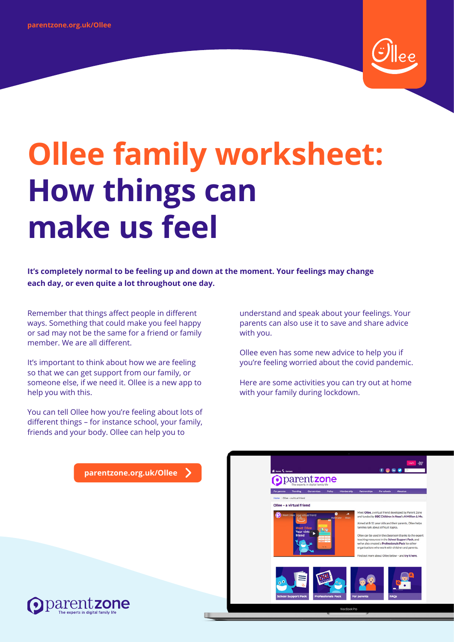

# **Ollee family worksheet: How things can make us feel**

**It's completely normal to be feeling up and down at the moment. Your feelings may change each day, or even quite a lot throughout one day.**

Remember that things affect people in different ways. Something that could make you feel happy or sad may not be the same for a friend or family member. We are all different.

It's important to think about how we are feeling so that we can get support from our family, or someone else, if we need it. Ollee is a new app to help you with this.

You can tell Ollee how you're feeling about lots of different things – for instance school, your family, friends and your body. Ollee can help you to

understand and speak about your feelings. Your parents can also use it to save and share advice with you.

Ollee even has some new advice to help you if you're feeling worried about the covid pandemic.

Here are some activities you can try out at home with your family during lockdown.

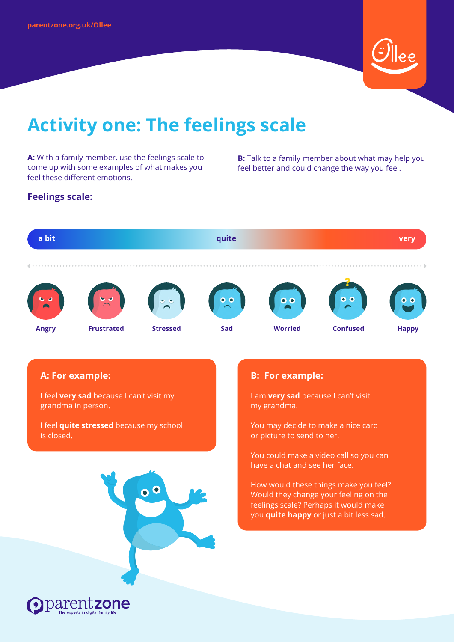

## **Activity one: The feelings scale**

**A:** With a family member, use the feelings scale to come up with some examples of what makes you feel these different emotions.

**B:** Talk to a family member about what may help you feel better and could change the way you feel.

#### **Feelings scale:**

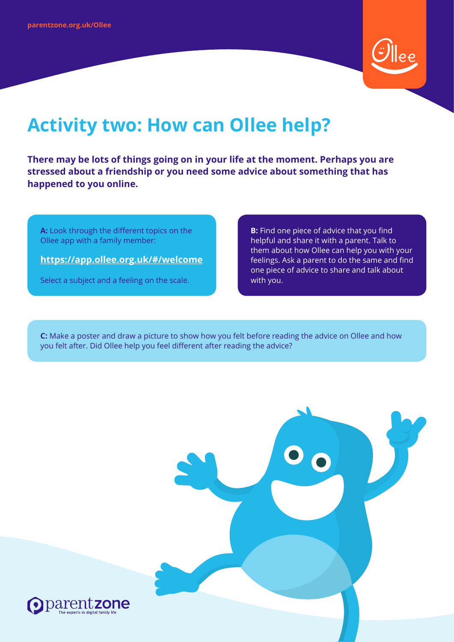

## **Activity two: How can Ollee help?**

**There may be lots of things going on in your life at the moment. Perhaps you are stressed about a friendship or you need some advice about something that has happened to you online.**

**A:** Look through the different topics on the Ollee app with a family member:

**<https://app.ollee.org.uk/#/welcome>**

Select a subject and a feeling on the scale.

**B:** Find one piece of advice that you find helpful and share it with a parent. Talk to them about how Ollee can help you with your feelings. Ask a parent to do the same and find one piece of advice to share and talk about with you.

**C:** Make a poster and draw a picture to show how you felt before reading the advice on Ollee and how you felt after. Did Ollee help you feel different after reading the advice?